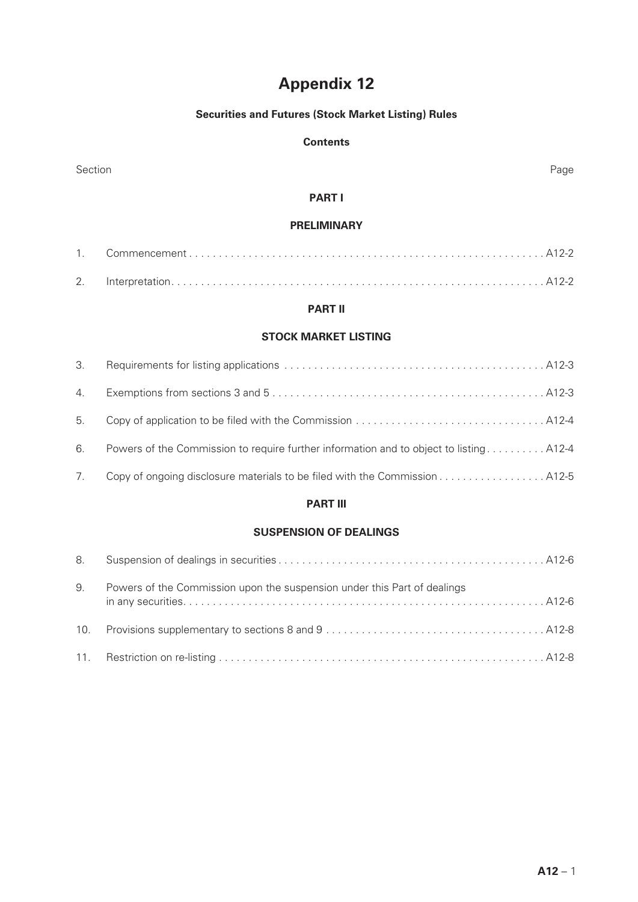# **Appendix 12**

# **Securities and Futures (Stock Market Listing) Rules**

# **Contents**

| Section<br>Page               |                                                                                        |  |  |
|-------------------------------|----------------------------------------------------------------------------------------|--|--|
|                               | <b>PART I</b>                                                                          |  |  |
| <b>PRELIMINARY</b>            |                                                                                        |  |  |
| 1.                            |                                                                                        |  |  |
| 2.                            |                                                                                        |  |  |
|                               | <b>PART II</b>                                                                         |  |  |
| <b>STOCK MARKET LISTING</b>   |                                                                                        |  |  |
| 3.                            |                                                                                        |  |  |
| 4.                            |                                                                                        |  |  |
| 5.                            |                                                                                        |  |  |
| 6.                            | Powers of the Commission to require further information and to object to listing A12-4 |  |  |
| 7.                            |                                                                                        |  |  |
|                               | <b>PART III</b>                                                                        |  |  |
| <b>SUSPENSION OF DEALINGS</b> |                                                                                        |  |  |
| 8.                            |                                                                                        |  |  |
| 9.                            | Powers of the Commission upon the suspension under this Part of dealings               |  |  |
| 10.                           |                                                                                        |  |  |
| 11.                           |                                                                                        |  |  |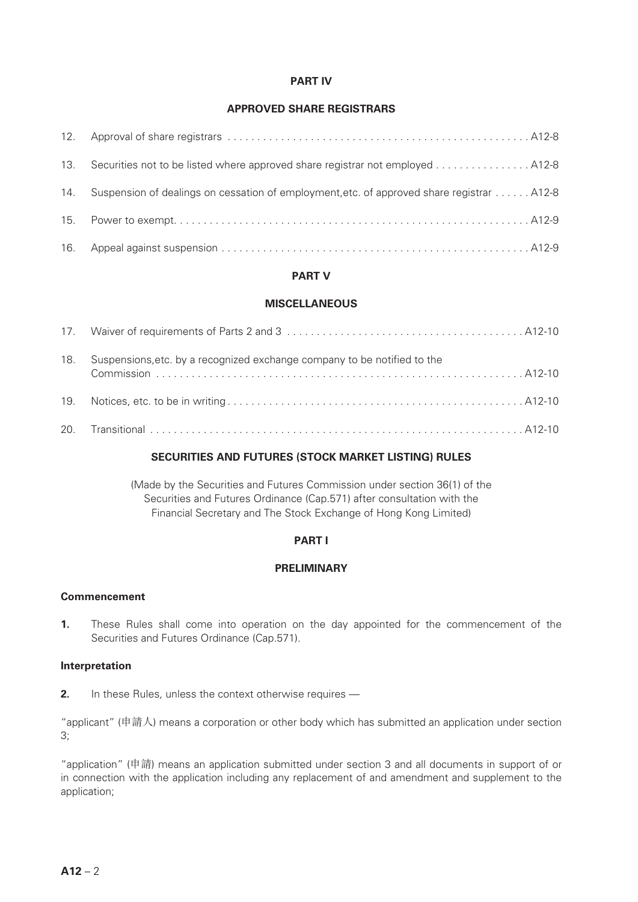# **PART IV**

# **APPROVED SHARE REGISTRARS**

| 13. |                                                                                           |
|-----|-------------------------------------------------------------------------------------------|
| 14. | Suspension of dealings on cessation of employment, etc. of approved share registrar A12-8 |
| 15. |                                                                                           |
|     |                                                                                           |

# **PART V**

# **MISCELLANEOUS**

| 18. | Suspensions, etc. by a recognized exchange company to be notified to the |
|-----|--------------------------------------------------------------------------|
|     |                                                                          |
|     |                                                                          |

# **SECURITIES AND FUTURES (STOCK MARKET LISTING) RULES**

(Made by the Securities and Futures Commission under section 36(1) of the Securities and Futures Ordinance (Cap.571) after consultation with the Financial Secretary and The Stock Exchange of Hong Kong Limited)

# **PART I**

# **PRELIMINARY**

# **Commencement**

**1.** These Rules shall come into operation on the day appointed for the commencement of the Securities and Futures Ordinance (Cap.571).

# **Interpretation**

**2.** In these Rules, unless the context otherwise requires —

"applicant" (申請人) means a corporation or other body which has submitted an application under section 3;

"application" (申請) means an application submitted under section 3 and all documents in support of or in connection with the application including any replacement of and amendment and supplement to the application;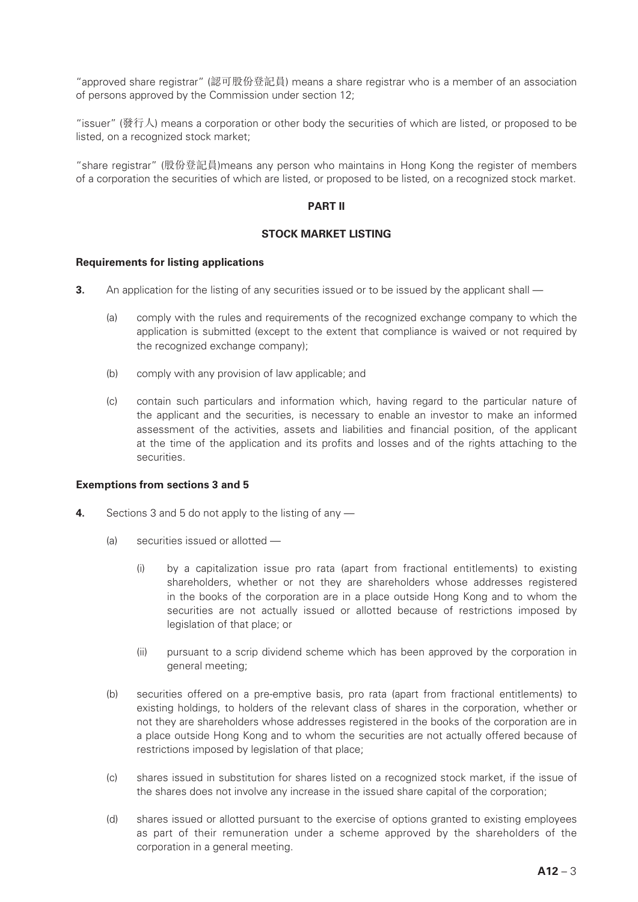"approved share registrar" (認可股份登記員) means a share registrar who is a member of an association of persons approved by the Commission under section 12;

"issuer" (發行人) means a corporation or other body the securities of which are listed, or proposed to be listed, on a recognized stock market;

"share registrar" (股份登記員)means any person who maintains in Hong Kong the register of members of a corporation the securities of which are listed, or proposed to be listed, on a recognized stock market.

# **PART II**

#### **STOCK MARKET LISTING**

#### **Requirements for listing applications**

- **3.** An application for the listing of any securities issued or to be issued by the applicant shall
	- (a) comply with the rules and requirements of the recognized exchange company to which the application is submitted (except to the extent that compliance is waived or not required by the recognized exchange company);
	- (b) comply with any provision of law applicable; and
	- (c) contain such particulars and information which, having regard to the particular nature of the applicant and the securities, is necessary to enable an investor to make an informed assessment of the activities, assets and liabilities and financial position, of the applicant at the time of the application and its profits and losses and of the rights attaching to the securities.

#### **Exemptions from sections 3 and 5**

- **4.** Sections 3 and 5 do not apply to the listing of any
	- (a) securities issued or allotted
		- (i) by a capitalization issue pro rata (apart from fractional entitlements) to existing shareholders, whether or not they are shareholders whose addresses registered in the books of the corporation are in a place outside Hong Kong and to whom the securities are not actually issued or allotted because of restrictions imposed by legislation of that place; or
		- (ii) pursuant to a scrip dividend scheme which has been approved by the corporation in general meeting;
	- (b) securities offered on a pre-emptive basis, pro rata (apart from fractional entitlements) to existing holdings, to holders of the relevant class of shares in the corporation, whether or not they are shareholders whose addresses registered in the books of the corporation are in a place outside Hong Kong and to whom the securities are not actually offered because of restrictions imposed by legislation of that place;
	- (c) shares issued in substitution for shares listed on a recognized stock market, if the issue of the shares does not involve any increase in the issued share capital of the corporation;
	- (d) shares issued or allotted pursuant to the exercise of options granted to existing employees as part of their remuneration under a scheme approved by the shareholders of the corporation in a general meeting.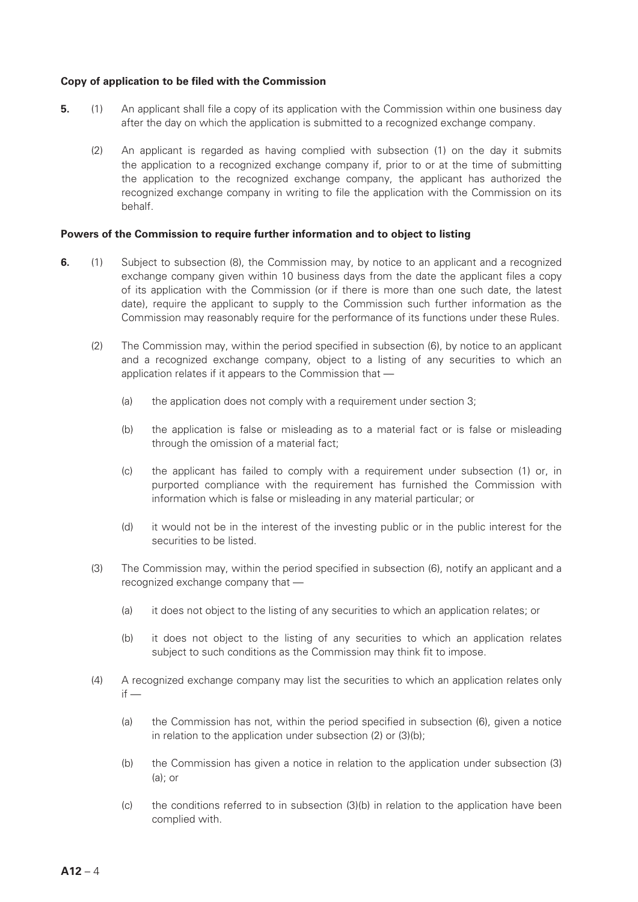#### **Copy of application to be filed with the Commission**

- **5.** (1) An applicant shall file a copy of its application with the Commission within one business day after the day on which the application is submitted to a recognized exchange company.
	- (2) An applicant is regarded as having complied with subsection (1) on the day it submits the application to a recognized exchange company if, prior to or at the time of submitting the application to the recognized exchange company, the applicant has authorized the recognized exchange company in writing to file the application with the Commission on its behalf.

#### **Powers of the Commission to require further information and to object to listing**

- **6.** (1) Subject to subsection (8), the Commission may, by notice to an applicant and a recognized exchange company given within 10 business days from the date the applicant files a copy of its application with the Commission (or if there is more than one such date, the latest date), require the applicant to supply to the Commission such further information as the Commission may reasonably require for the performance of its functions under these Rules.
	- (2) The Commission may, within the period specified in subsection (6), by notice to an applicant and a recognized exchange company, object to a listing of any securities to which an application relates if it appears to the Commission that —
		- (a) the application does not comply with a requirement under section 3;
		- (b) the application is false or misleading as to a material fact or is false or misleading through the omission of a material fact;
		- (c) the applicant has failed to comply with a requirement under subsection (1) or, in purported compliance with the requirement has furnished the Commission with information which is false or misleading in any material particular; or
		- (d) it would not be in the interest of the investing public or in the public interest for the securities to be listed.
	- (3) The Commission may, within the period specified in subsection (6), notify an applicant and a recognized exchange company that —
		- (a) it does not object to the listing of any securities to which an application relates; or
		- (b) it does not object to the listing of any securities to which an application relates subject to such conditions as the Commission may think fit to impose.
	- (4) A recognized exchange company may list the securities to which an application relates only  $if -$ 
		- (a) the Commission has not, within the period specified in subsection (6), given a notice in relation to the application under subsection (2) or (3)(b);
		- (b) the Commission has given a notice in relation to the application under subsection (3) (a); or
		- (c) the conditions referred to in subsection (3)(b) in relation to the application have been complied with.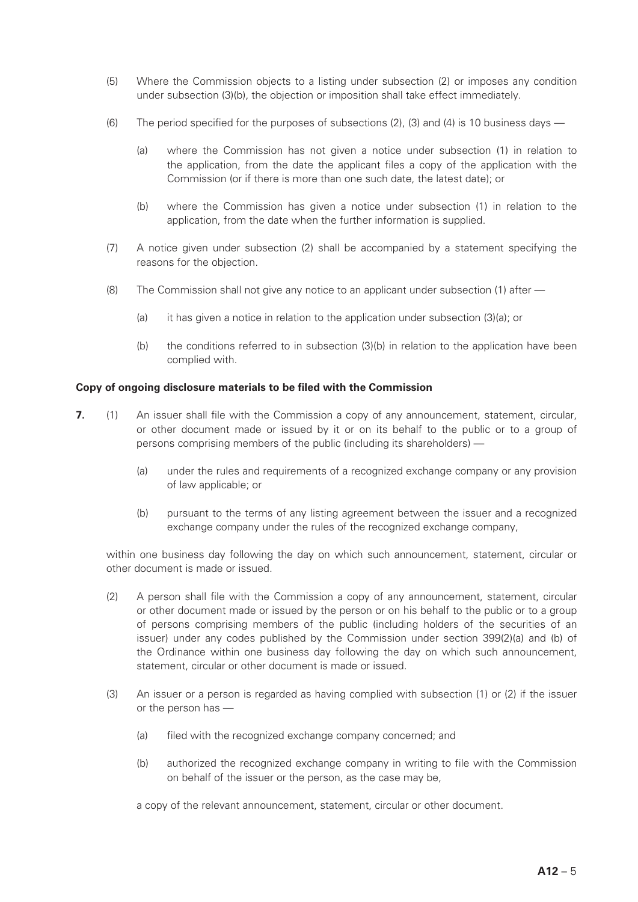- (5) Where the Commission objects to a listing under subsection (2) or imposes any condition under subsection (3)(b), the objection or imposition shall take effect immediately.
- (6) The period specified for the purposes of subsections (2), (3) and (4) is 10 business days
	- (a) where the Commission has not given a notice under subsection (1) in relation to the application, from the date the applicant files a copy of the application with the Commission (or if there is more than one such date, the latest date); or
	- (b) where the Commission has given a notice under subsection (1) in relation to the application, from the date when the further information is supplied.
- (7) A notice given under subsection (2) shall be accompanied by a statement specifying the reasons for the objection.
- (8) The Commission shall not give any notice to an applicant under subsection (1) after
	- (a) it has given a notice in relation to the application under subsection (3)(a); or
	- (b) the conditions referred to in subsection (3)(b) in relation to the application have been complied with.

#### **Copy of ongoing disclosure materials to be filed with the Commission**

- **7.** (1) An issuer shall file with the Commission a copy of any announcement, statement, circular, or other document made or issued by it or on its behalf to the public or to a group of persons comprising members of the public (including its shareholders) -
	- (a) under the rules and requirements of a recognized exchange company or any provision of law applicable; or
	- (b) pursuant to the terms of any listing agreement between the issuer and a recognized exchange company under the rules of the recognized exchange company,

within one business day following the day on which such announcement, statement, circular or other document is made or issued.

- (2) A person shall file with the Commission a copy of any announcement, statement, circular or other document made or issued by the person or on his behalf to the public or to a group of persons comprising members of the public (including holders of the securities of an issuer) under any codes published by the Commission under section 399(2)(a) and (b) of the Ordinance within one business day following the day on which such announcement, statement, circular or other document is made or issued.
- (3) An issuer or a person is regarded as having complied with subsection (1) or (2) if the issuer or the person has —
	- (a) filed with the recognized exchange company concerned; and
	- (b) authorized the recognized exchange company in writing to file with the Commission on behalf of the issuer or the person, as the case may be,

a copy of the relevant announcement, statement, circular or other document.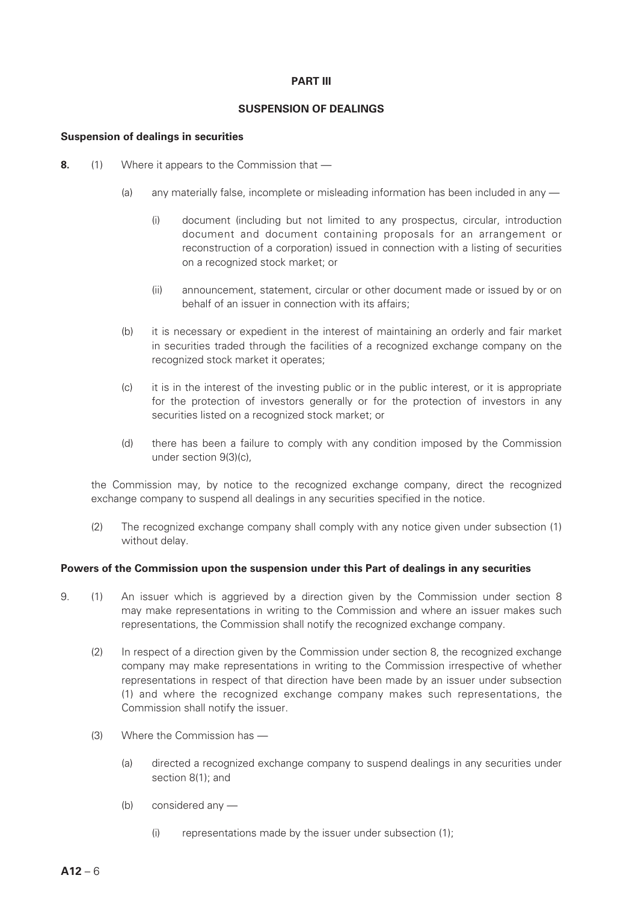# **PART III**

# **SUSPENSION OF DEALINGS**

#### **Suspension of dealings in securities**

- **8.** (1) Where it appears to the Commission that
	- (a) any materially false, incomplete or misleading information has been included in any
		- (i) document (including but not limited to any prospectus, circular, introduction document and document containing proposals for an arrangement or reconstruction of a corporation) issued in connection with a listing of securities on a recognized stock market; or
		- (ii) announcement, statement, circular or other document made or issued by or on behalf of an issuer in connection with its affairs;
	- (b) it is necessary or expedient in the interest of maintaining an orderly and fair market in securities traded through the facilities of a recognized exchange company on the recognized stock market it operates;
	- (c) it is in the interest of the investing public or in the public interest, or it is appropriate for the protection of investors generally or for the protection of investors in any securities listed on a recognized stock market; or
	- (d) there has been a failure to comply with any condition imposed by the Commission under section 9(3)(c),

the Commission may, by notice to the recognized exchange company, direct the recognized exchange company to suspend all dealings in any securities specified in the notice.

(2) The recognized exchange company shall comply with any notice given under subsection (1) without delay.

#### **Powers of the Commission upon the suspension under this Part of dealings in any securities**

- 9. (1) An issuer which is aggrieved by a direction given by the Commission under section 8 may make representations in writing to the Commission and where an issuer makes such representations, the Commission shall notify the recognized exchange company.
	- (2) In respect of a direction given by the Commission under section 8, the recognized exchange company may make representations in writing to the Commission irrespective of whether representations in respect of that direction have been made by an issuer under subsection (1) and where the recognized exchange company makes such representations, the Commission shall notify the issuer.
	- (3) Where the Commission has
		- (a) directed a recognized exchange company to suspend dealings in any securities under section 8(1); and
		- (b) considered any
			- (i) representations made by the issuer under subsection (1);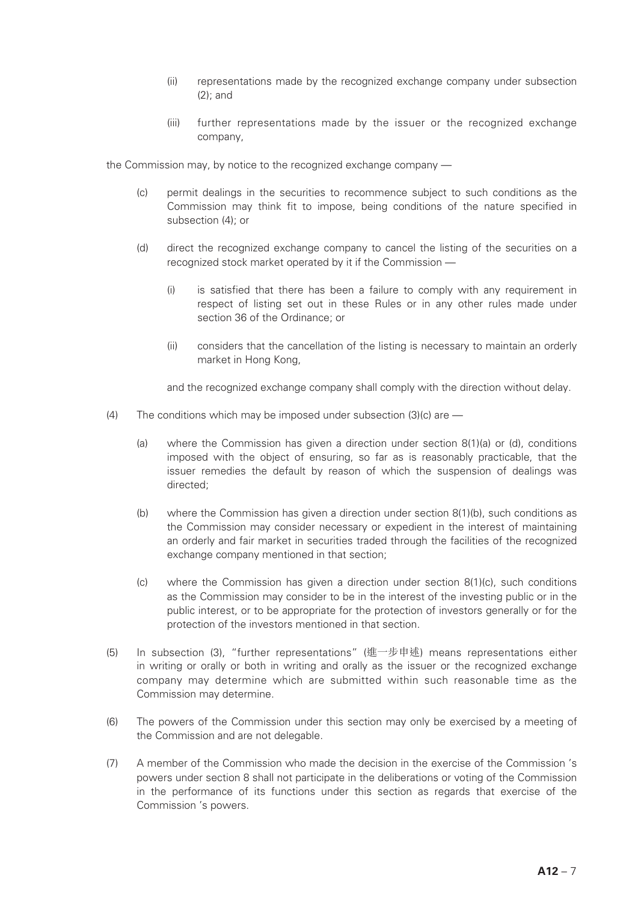- (ii) representations made by the recognized exchange company under subsection (2); and
- (iii) further representations made by the issuer or the recognized exchange company,

the Commission may, by notice to the recognized exchange company —

- (c) permit dealings in the securities to recommence subject to such conditions as the Commission may think fit to impose, being conditions of the nature specified in subsection (4); or
- (d) direct the recognized exchange company to cancel the listing of the securities on a recognized stock market operated by it if the Commission —
	- (i) is satisfied that there has been a failure to comply with any requirement in respect of listing set out in these Rules or in any other rules made under section 36 of the Ordinance; or
	- (ii) considers that the cancellation of the listing is necessary to maintain an orderly market in Hong Kong,

and the recognized exchange company shall comply with the direction without delay.

- (4) The conditions which may be imposed under subsection (3)(c) are
	- (a) where the Commission has given a direction under section 8(1)(a) or (d), conditions imposed with the object of ensuring, so far as is reasonably practicable, that the issuer remedies the default by reason of which the suspension of dealings was directed;
	- (b) where the Commission has given a direction under section 8(1)(b), such conditions as the Commission may consider necessary or expedient in the interest of maintaining an orderly and fair market in securities traded through the facilities of the recognized exchange company mentioned in that section;
	- (c) where the Commission has given a direction under section 8(1)(c), such conditions as the Commission may consider to be in the interest of the investing public or in the public interest, or to be appropriate for the protection of investors generally or for the protection of the investors mentioned in that section.
- (5) In subsection (3), "further representations" (進一步申述) means representations either in writing or orally or both in writing and orally as the issuer or the recognized exchange company may determine which are submitted within such reasonable time as the Commission may determine.
- (6) The powers of the Commission under this section may only be exercised by a meeting of the Commission and are not delegable.
- (7) A member of the Commission who made the decision in the exercise of the Commission 's powers under section 8 shall not participate in the deliberations or voting of the Commission in the performance of its functions under this section as regards that exercise of the Commission 's powers.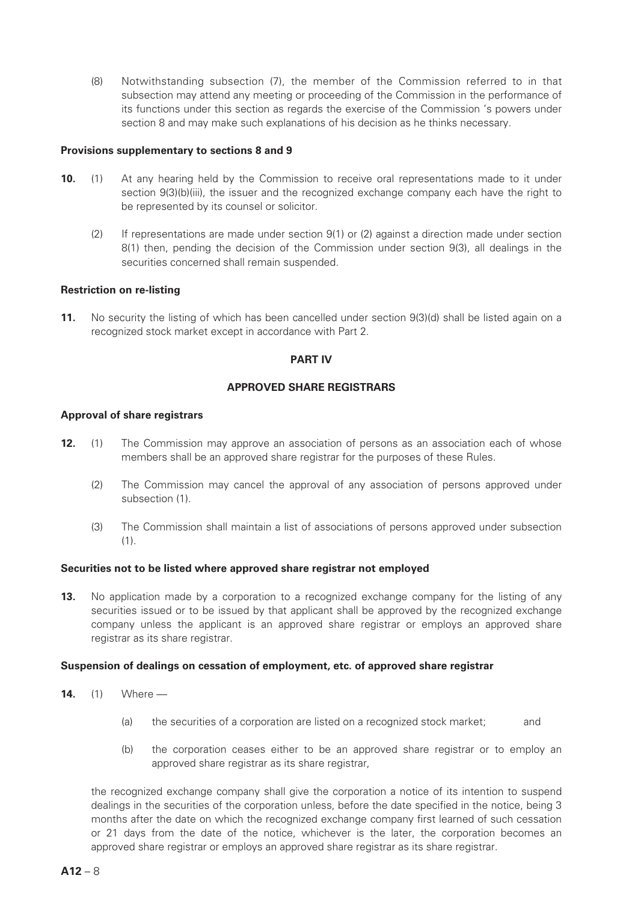(8) Notwithstanding subsection (7), the member of the Commission referred to in that subsection may attend any meeting or proceeding of the Commission in the performance of its functions under this section as regards the exercise of the Commission 's powers under section 8 and may make such explanations of his decision as he thinks necessary.

#### **Provisions supplementary to sections 8 and 9**

- **10.** (1) At any hearing held by the Commission to receive oral representations made to it under section 9(3)(b)(iii), the issuer and the recognized exchange company each have the right to be represented by its counsel or solicitor.
	- (2) If representations are made under section 9(1) or (2) against a direction made under section 8(1) then, pending the decision of the Commission under section 9(3), all dealings in the securities concerned shall remain suspended.

#### **Restriction on re-listing**

**11.** No security the listing of which has been cancelled under section 9(3)(d) shall be listed again on a recognized stock market except in accordance with Part 2.

#### **PART IV**

#### **APPROVED SHARE REGISTRARS**

#### **Approval of share registrars**

- **12.** (1) The Commission may approve an association of persons as an association each of whose members shall be an approved share registrar for the purposes of these Rules.
	- (2) The Commission may cancel the approval of any association of persons approved under subsection (1).
	- (3) The Commission shall maintain a list of associations of persons approved under subsection (1).

# **Securities not to be listed where approved share registrar not employed**

**13.** No application made by a corporation to a recognized exchange company for the listing of any securities issued or to be issued by that applicant shall be approved by the recognized exchange company unless the applicant is an approved share registrar or employs an approved share registrar as its share registrar.

#### **Suspension of dealings on cessation of employment, etc. of approved share registrar**

- **14.** (1) Where
	- (a) the securities of a corporation are listed on a recognized stock market; and
	- (b) the corporation ceases either to be an approved share registrar or to employ an approved share registrar as its share registrar,

the recognized exchange company shall give the corporation a notice of its intention to suspend dealings in the securities of the corporation unless, before the date specified in the notice, being 3 months after the date on which the recognized exchange company first learned of such cessation or 21 days from the date of the notice, whichever is the later, the corporation becomes an approved share registrar or employs an approved share registrar as its share registrar.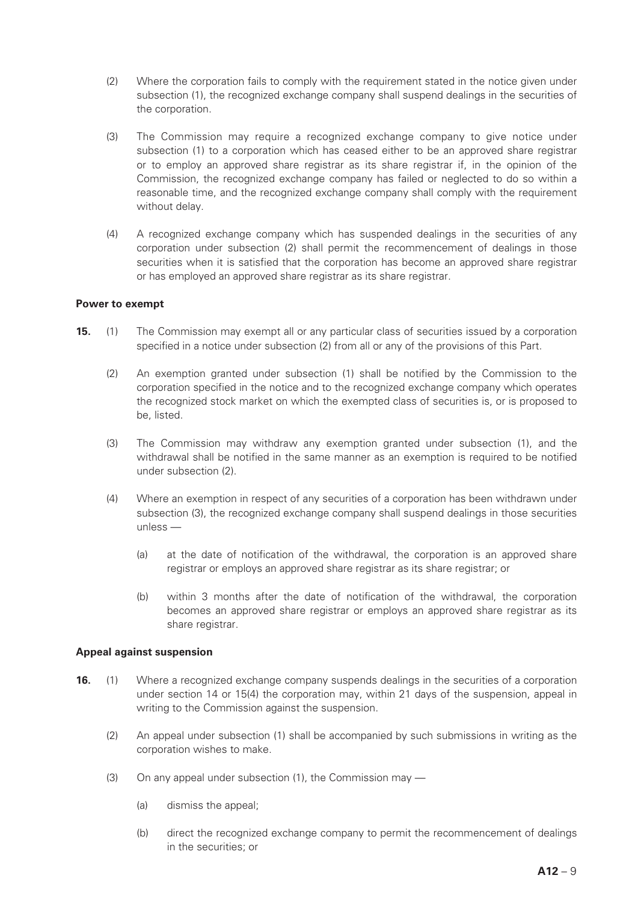- (2) Where the corporation fails to comply with the requirement stated in the notice given under subsection (1), the recognized exchange company shall suspend dealings in the securities of the corporation.
- (3) The Commission may require a recognized exchange company to give notice under subsection (1) to a corporation which has ceased either to be an approved share registrar or to employ an approved share registrar as its share registrar if, in the opinion of the Commission, the recognized exchange company has failed or neglected to do so within a reasonable time, and the recognized exchange company shall comply with the requirement without delay.
- (4) A recognized exchange company which has suspended dealings in the securities of any corporation under subsection (2) shall permit the recommencement of dealings in those securities when it is satisfied that the corporation has become an approved share registrar or has employed an approved share registrar as its share registrar.

# **Power to exempt**

- **15.** (1) The Commission may exempt all or any particular class of securities issued by a corporation specified in a notice under subsection (2) from all or any of the provisions of this Part.
	- (2) An exemption granted under subsection (1) shall be notified by the Commission to the corporation specified in the notice and to the recognized exchange company which operates the recognized stock market on which the exempted class of securities is, or is proposed to be, listed.
	- (3) The Commission may withdraw any exemption granted under subsection (1), and the withdrawal shall be notified in the same manner as an exemption is required to be notified under subsection (2).
	- (4) Where an exemption in respect of any securities of a corporation has been withdrawn under subsection (3), the recognized exchange company shall suspend dealings in those securities unless —
		- (a) at the date of notification of the withdrawal, the corporation is an approved share registrar or employs an approved share registrar as its share registrar; or
		- (b) within 3 months after the date of notification of the withdrawal, the corporation becomes an approved share registrar or employs an approved share registrar as its share registrar.

# **Appeal against suspension**

- **16.** (1) Where a recognized exchange company suspends dealings in the securities of a corporation under section 14 or 15(4) the corporation may, within 21 days of the suspension, appeal in writing to the Commission against the suspension.
	- (2) An appeal under subsection (1) shall be accompanied by such submissions in writing as the corporation wishes to make.
	- (3) On any appeal under subsection (1), the Commission may
		- (a) dismiss the appeal;
		- (b) direct the recognized exchange company to permit the recommencement of dealings in the securities; or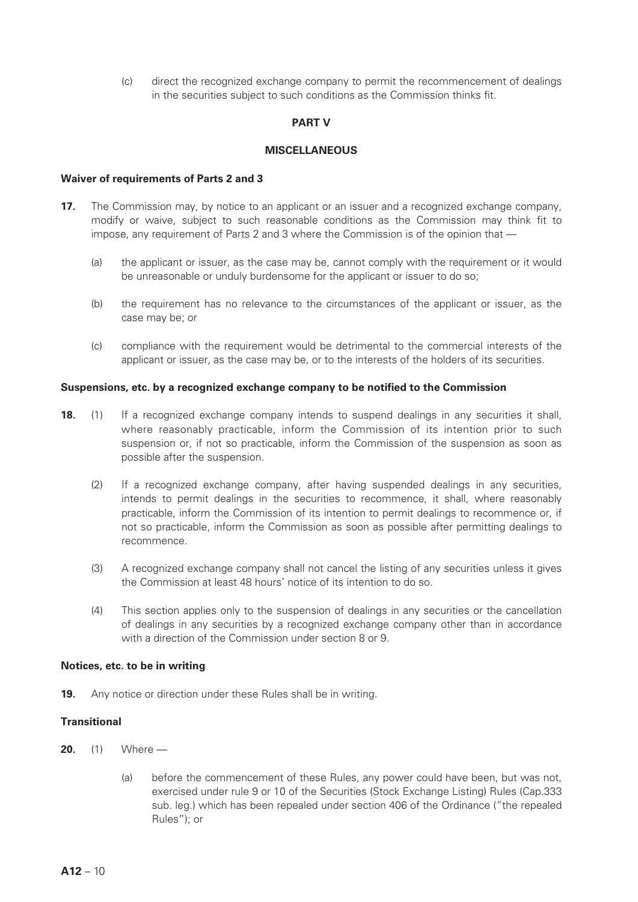(c) direct the recognized exchange company to permit the recommencement of dealings in the securities subject to such conditions as the Commission thinks fit.

# **PART V**

# **MISCELLANEOUS**

#### **Waiver of requirements of Parts 2 and 3**

- **17.** The Commission may, by notice to an applicant or an issuer and a recognized exchange company, modify or waive, subject to such reasonable conditions as the Commission may think fit to impose, any requirement of Parts 2 and 3 where the Commission is of the opinion that —
	- (a) the applicant or issuer, as the case may be, cannot comply with the requirement or it would be unreasonable or unduly burdensome for the applicant or issuer to do so;
	- (b) the requirement has no relevance to the circumstances of the applicant or issuer, as the case may be; or
	- (c) compliance with the requirement would be detrimental to the commercial interests of the applicant or issuer, as the case may be, or to the interests of the holders of its securities.

#### **Suspensions, etc. by a recognized exchange company to be notified to the Commission**

- **18.** (1) If a recognized exchange company intends to suspend dealings in any securities it shall, where reasonably practicable, inform the Commission of its intention prior to such suspension or, if not so practicable, inform the Commission of the suspension as soon as possible after the suspension.
	- (2) If a recognized exchange company, after having suspended dealings in any securities, intends to permit dealings in the securities to recommence, it shall, where reasonably practicable, inform the Commission of its intention to permit dealings to recommence or, if not so practicable, inform the Commission as soon as possible after permitting dealings to recommence.
	- (3) A recognized exchange company shall not cancel the listing of any securities unless it gives the Commission at least 48 hours' notice of its intention to do so.
	- (4) This section applies only to the suspension of dealings in any securities or the cancellation of dealings in any securities by a recognized exchange company other than in accordance with a direction of the Commission under section 8 or 9.

#### **Notices, etc. to be in writing**

**19.** Any notice or direction under these Rules shall be in writing.

# **Transitional**

- **20.** (1) Where
	- (a) before the commencement of these Rules, any power could have been, but was not, exercised under rule 9 or 10 of the Securities (Stock Exchange Listing) Rules (Cap.333 sub. leg.) which has been repealed under section 406 of the Ordinance ("the repealed Rules"); or